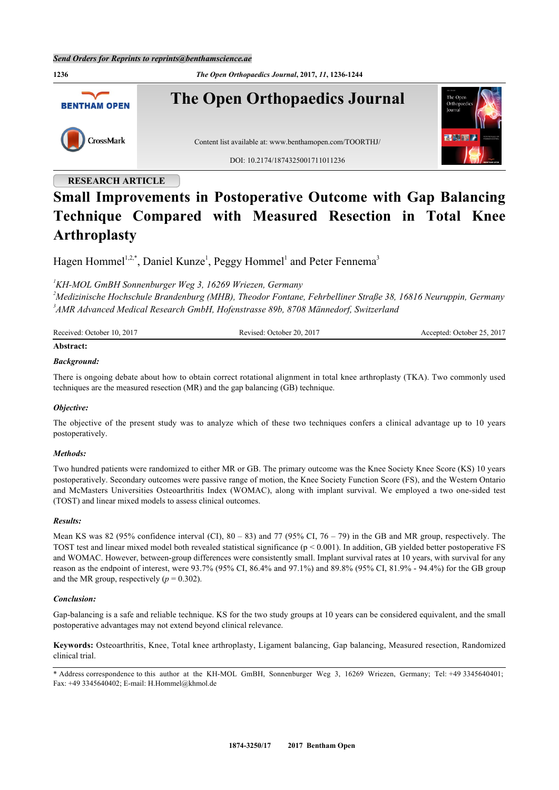**1236** *The Open Orthopaedics Journal***, 2017,** *11***, 1236-1244 The Open Orthopaedics Journal BENTHAM OPEN** CrossMark Content list available at: [www.benthamopen.com/TOORTHJ/](http://www.benthamopen.com/TOORTHJ/) DOI: [10.2174/1874325001711011236](http://dx.doi.org/10.2174/1874325001711011236)

# **RESEARCH ARTICLE**

# **Small Improvements in Postoperative Outcome with Gap Balancing Technique Compared with Measured Resection in Total Knee Arthroplasty**

Hagen Hommel<sup>[1](#page-0-0),[2](#page-0-1),[\\*](#page-0-2)</sup>, Daniel Kunze<sup>1</sup>, Peggy Hommel<sup>1</sup> and Peter Fennema<sup>[3](#page-0-3)</sup>

<span id="page-0-0"></span>*<sup>1</sup>KH-MOL GmBH Sonnenburger Weg 3, 16269 Wriezen, Germany*

<span id="page-0-3"></span><span id="page-0-1"></span>*<sup>2</sup>Medizinische Hochschule Brandenburg (MHB), Theodor Fontane, Fehrbelliner Straße 38, 16816 Neuruppin, Germany 3 AMR Advanced Medical Research GmbH, Hofenstrasse 89b, 8708 Männedorf, Switzerland*

| Received: October 10, 2017 | Revised: October 20, 2017 | Accepted: October 25, 2017 |
|----------------------------|---------------------------|----------------------------|
| Abstract:                  |                           |                            |

#### *Background:*

There is ongoing debate about how to obtain correct rotational alignment in total knee arthroplasty (TKA). Two commonly used techniques are the measured resection (MR) and the gap balancing (GB) technique.

#### *Objective:*

The objective of the present study was to analyze which of these two techniques confers a clinical advantage up to 10 years postoperatively.

#### *Methods:*

Two hundred patients were randomized to either MR or GB. The primary outcome was the Knee Society Knee Score (KS) 10 years postoperatively. Secondary outcomes were passive range of motion, the Knee Society Function Score (FS), and the Western Ontario and McMasters Universities Osteoarthritis Index (WOMAC), along with implant survival. We employed a two one-sided test (TOST) and linear mixed models to assess clinical outcomes.

#### *Results:*

Mean KS was 82 (95% confidence interval (CI),  $80 - 83$ ) and 77 (95% CI,  $76 - 79$ ) in the GB and MR group, respectively. The TOST test and linear mixed model both revealed statistical significance (p < 0.001). In addition, GB yielded better postoperative FS and WOMAC. However, between-group differences were consistently small. Implant survival rates at 10 years, with survival for any reason as the endpoint of interest, were 93.7% (95% CI, 86.4% and 97.1%) and 89.8% (95% CI, 81.9% - 94.4%) for the GB group and the MR group, respectively  $(p = 0.302)$ .

#### *Conclusion:*

Gap-balancing is a safe and reliable technique. KS for the two study groups at 10 years can be considered equivalent, and the small postoperative advantages may not extend beyond clinical relevance.

**Keywords:** Osteoarthritis, Knee, Total knee arthroplasty, Ligament balancing, Gap balancing, Measured resection, Randomized clinical trial.

<span id="page-0-2"></span>\* Address correspondence to this author at the KH-MOL GmBH, Sonnenburger Weg 3, 16269 Wriezen, Germany; Tel: +49 3345640401; Fax: +49 3345640402; E-mail: [H.Hommel@khmol.de](mailto:H.Hommel@khmol.de)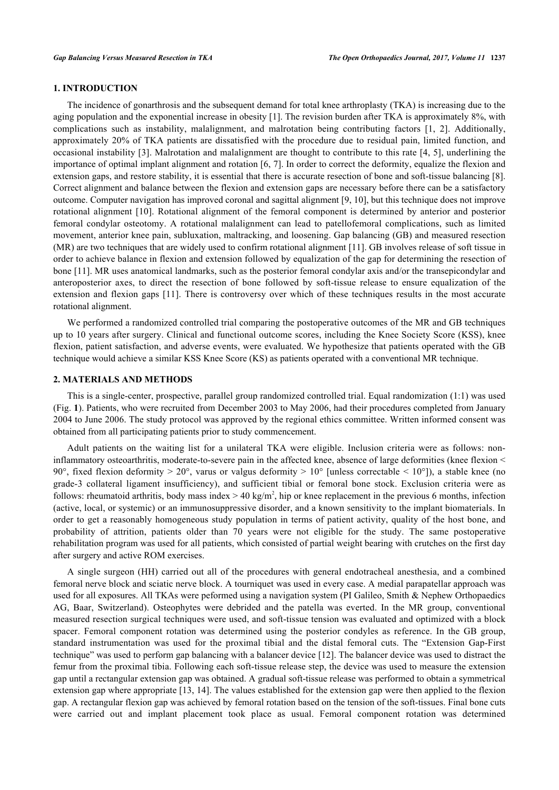# **1. INTRODUCTION**

The incidence of gonarthrosis and the subsequent demand for total knee arthroplasty (TKA) is increasing due to the aging population and the exponential increase in obesity [\[1](#page-6-0)]. The revision burden after TKA is approximately 8%, with complications such as instability, malalignment, and malrotation being contributing factors [\[1](#page-6-0), [2\]](#page-6-1). Additionally, approximately 20% of TKA patients are dissatisfied with the procedure due to residual pain, limited function, and occasional instability [[3\]](#page-7-0). Malrotation and malalignment are thought to contribute to this rate [[4,](#page-7-1) [5\]](#page-7-2), underlining the importance of optimal implant alignment and rotation [[6,](#page-7-3) [7](#page-7-4)]. In order to correct the deformity, equalize the flexion and extension gaps, and restore stability, it is essential that there is accurate resection of bone and soft-tissue balancing [[8\]](#page-7-5). Correct alignment and balance between the flexion and extension gaps are necessary before there can be a satisfactory outcome. Computer navigation has improved coronal and sagittal alignment [[9](#page-7-6), [10](#page-7-7)], but this technique does not improve rotational alignment[[10](#page-7-7)]. Rotational alignment of the femoral component is determined by anterior and posterior femoral condylar osteotomy. A rotational malalignment can lead to patellofemoral complications, such as limited movement, anterior knee pain, subluxation, maltracking, and loosening. Gap balancing (GB) and measured resection (MR) are two techniques that are widely used to confirm rotational alignment [[11\]](#page-7-8). GB involves release of soft tissue in order to achieve balance in flexion and extension followed by equalization of the gap for determining the resection of bone [\[11](#page-7-8)]. MR uses anatomical landmarks, such as the posterior femoral condylar axis and/or the transepicondylar and anteroposterior axes, to direct the resection of bone followed by soft-tissue release to ensure equalization of the extension and flexion gaps [[11](#page-7-8)]. There is controversy over which of these techniques results in the most accurate rotational alignment.

We performed a randomized controlled trial comparing the postoperative outcomes of the MR and GB techniques up to 10 years after surgery. Clinical and functional outcome scores, including the Knee Society Score (KSS), knee flexion, patient satisfaction, and adverse events, were evaluated. We hypothesize that patients operated with the GB technique would achieve a similar KSS Knee Score (KS) as patients operated with a conventional MR technique.

#### **2. MATERIALS AND METHODS**

This is a single-center, prospective, parallel group randomized controlled trial. Equal randomization (1:1) was used (Fig. **[1](#page-2-0)**). Patients, who were recruited from December 2003 to May 2006, had their procedures completed from January 2004 to June 2006. The study protocol was approved by the regional ethics committee. Written informed consent was obtained from all participating patients prior to study commencement.

Adult patients on the waiting list for a unilateral TKA were eligible. Inclusion criteria were as follows: noninflammatory osteoarthritis, moderate-to-severe pain in the affected knee, absence of large deformities (knee flexion < 90°, fixed flexion deformity > 20°, varus or valgus deformity > 10° [unless correctable < 10°]), a stable knee (no grade-3 collateral ligament insufficiency), and sufficient tibial or femoral bone stock. Exclusion criteria were as follows: rheumatoid arthritis, body mass index  $> 40 \text{ kg/m}^2$ , hip or knee replacement in the previous 6 months, infection (active, local, or systemic) or an immunosuppressive disorder, and a known sensitivity to the implant biomaterials. In order to get a reasonably homogeneous study population in terms of patient activity, quality of the host bone, and probability of attrition, patients older than 70 years were not eligible for the study. The same postoperative rehabilitation program was used for all patients, which consisted of partial weight bearing with crutches on the first day after surgery and active ROM exercises.

A single surgeon (HH) carried out all of the procedures with general endotracheal anesthesia, and a combined femoral nerve block and sciatic nerve block. A tourniquet was used in every case. A medial parapatellar approach was used for all exposures. All TKAs were peformed using a navigation system (PI Galileo, Smith & Nephew Orthopaedics AG, Baar, Switzerland). Osteophytes were debrided and the patella was everted. In the MR group, conventional measured resection surgical techniques were used, and soft-tissue tension was evaluated and optimized with a block spacer. Femoral component rotation was determined using the posterior condyles as reference. In the GB group, standard instrumentation was used for the proximal tibial and the distal femoral cuts. The "Extension Gap-First technique" was used to perform gap balancing with a balancer device [\[12](#page-7-9)]. The balancer device was used to distract the femur from the proximal tibia. Following each soft-tissue release step, the device was used to measure the extension gap until a rectangular extension gap was obtained. A gradual soft-tissue release was performed to obtain a symmetrical extension gap where appropriate [\[13](#page-7-10), [14\]](#page-7-11). The values established for the extension gap were then applied to the flexion gap. A rectangular flexion gap was achieved by femoral rotation based on the tension of the soft-tissues. Final bone cuts were carried out and implant placement took place as usual. Femoral component rotation was determined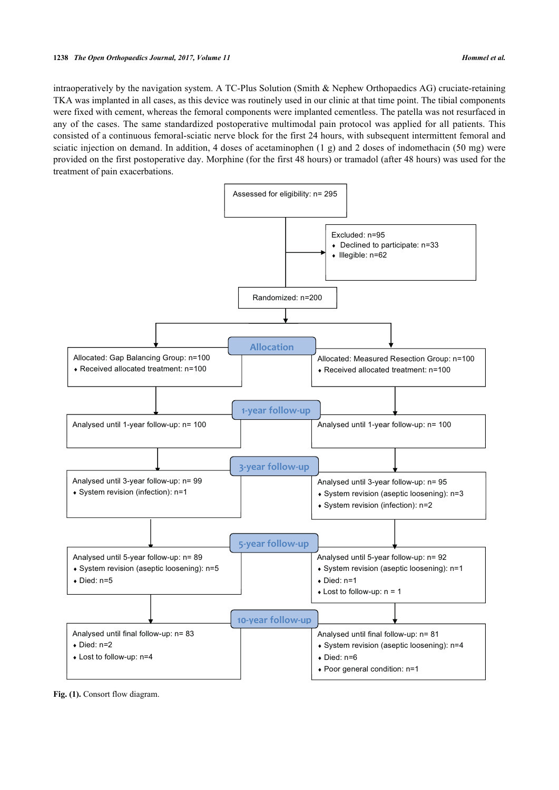intraoperatively by the navigation system. A TC-Plus Solution (Smith & Nephew Orthopaedics AG) cruciate-retaining TKA was implanted in all cases, as this device was routinely used in our clinic at that time point. The tibial components were fixed with cement, whereas the femoral components were implanted cementless. The patella was not resurfaced in any of the cases. The same standardized postoperative multimodal pain protocol was applied for all patients. This consisted of a continuous femoral-sciatic nerve block for the first 24 hours, with subsequent intermittent femoral and sciatic injection on demand. In addition, 4 doses of acetaminophen  $(1 g)$  and 2 doses of indomethacin (50 mg) were provided on the first postoperative day. Morphine (for the first 48 hours) or tramadol (after 48 hours) was used for the treatment of pain exacerbations.

<span id="page-2-0"></span>

Fig. (1). Consort flow diagram.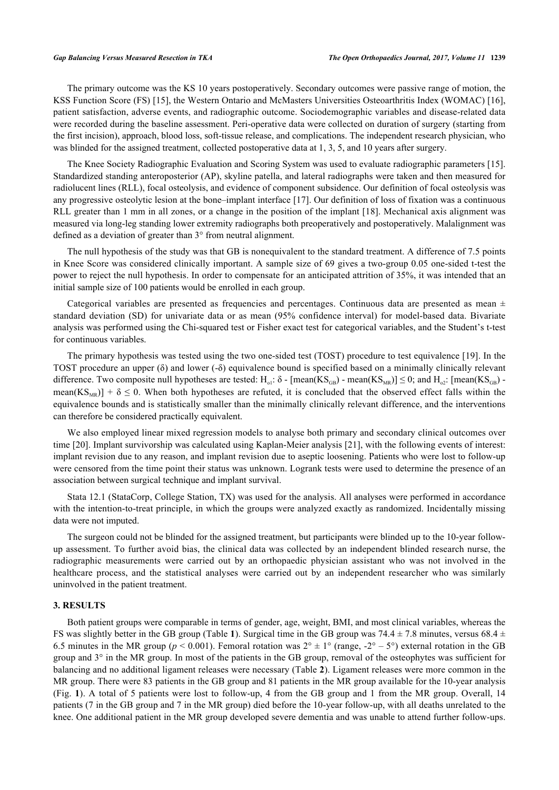The primary outcome was the KS 10 years postoperatively. Secondary outcomes were passive range of motion, the KSS Function Score (FS) [\[15](#page-7-12)], the Western Ontario and McMasters Universities Osteoarthritis Index (WOMAC) [[16\]](#page-7-13), patient satisfaction, adverse events, and radiographic outcome. Sociodemographic variables and disease-related data were recorded during the baseline assessment. Peri-operative data were collected on duration of surgery (starting from the first incision), approach, blood loss, soft-tissue release, and complications. The independent research physician, who was blinded for the assigned treatment, collected postoperative data at 1, 3, 5, and 10 years after surgery.

The Knee Society Radiographic Evaluation and Scoring System was used to evaluate radiographic parameters [[15\]](#page-7-12). Standardized standing anteroposterior (AP), skyline patella, and lateral radiographs were taken and then measured for radiolucent lines (RLL), focal osteolysis, and evidence of component subsidence. Our definition of focal osteolysis was any progressive osteolytic lesion at the bone–implant interface [[17\]](#page-7-14). Our definition of loss of fixation was a continuous RLL greater than 1 mm in all zones, or a change in the position of the implant [\[18\]](#page-7-15). Mechanical axis alignment was measured via long-leg standing lower extremity radiographs both preoperatively and postoperatively. Malalignment was defined as a deviation of greater than 3° from neutral alignment.

The null hypothesis of the study was that GB is nonequivalent to the standard treatment. A difference of 7.5 points in Knee Score was considered clinically important. A sample size of 69 gives a two-group 0.05 one-sided t-test the power to reject the null hypothesis. In order to compensate for an anticipated attrition of 35%, it was intended that an initial sample size of 100 patients would be enrolled in each group.

Categorical variables are presented as frequencies and percentages. Continuous data are presented as mean  $\pm$ standard deviation (SD) for univariate data or as mean (95% confidence interval) for model-based data. Bivariate analysis was performed using the Chi-squared test or Fisher exact test for categorical variables, and the Student's t-test for continuous variables.

The primary hypothesis was tested using the two one-sided test (TOST) procedure to test equivalence [[19](#page-7-16)]. In the TOST procedure an upper (δ) and lower (-δ) equivalence bound is specified based on a minimally clinically relevant difference. Two composite null hypotheses are tested:  $H_{ol}$ :  $\delta$  - [mean(KS<sub>GB</sub>) - mean(KS<sub>MR</sub>)]  $\leq$  0; and  $H_{ol}$ : [mean(KS<sub>GB</sub>) mean(KS<sub>MR</sub>)] +  $\delta \le 0$ . When both hypotheses are refuted, it is concluded that the observed effect falls within the equivalence bounds and is statistically smaller than the minimally clinically relevant difference, and the interventions can therefore be considered practically equivalent.

We also employed linear mixed regression models to analyse both primary and secondary clinical outcomes over time [[20\]](#page-7-17). Implant survivorship was calculated using Kaplan-Meier analysis [[21\]](#page-7-18), with the following events of interest: implant revision due to any reason, and implant revision due to aseptic loosening. Patients who were lost to follow-up were censored from the time point their status was unknown. Logrank tests were used to determine the presence of an association between surgical technique and implant survival.

Stata 12.1 (StataCorp, College Station, TX) was used for the analysis. All analyses were performed in accordance with the intention-to-treat principle, in which the groups were analyzed exactly as randomized. Incidentally missing data were not imputed.

The surgeon could not be blinded for the assigned treatment, but participants were blinded up to the 10-year followup assessment. To further avoid bias, the clinical data was collected by an independent blinded research nurse, the radiographic measurements were carried out by an orthopaedic physician assistant who was not involved in the healthcare process, and the statistical analyses were carried out by an independent researcher who was similarly uninvolved in the patient treatment.

#### **3. RESULTS**

Both patient groups were comparable in terms of gender, age, weight, BMI, and most clinical variables, whereas the FS was slightly better in the GB group (Table [1](#page-4-0)). Surgical time in the GB group was  $74.4 \pm 7.8$  minutes, versus  $68.4 \pm 7.8$ 6.5 minutes in the MR group ( $p < 0.001$ ). Femoral rotation was  $2^\circ \pm 1^\circ$  (range,  $-2^\circ - 5^\circ$ ) external rotation in the GB group and 3° in the MR group. In most of the patients in the GB group, removal of the osteophytes was sufficient for balancing and no additional ligament releases were necessary (Table **[2](#page-4-1)**). Ligament releases were more common in the MR group. There were 83 patients in the GB group and 81 patients in the MR group available for the 10-year analysis (Fig. **[1](#page-2-0)**). A total of 5 patients were lost to follow-up, 4 from the GB group and 1 from the MR group. Overall, 14 patients (7 in the GB group and 7 in the MR group) died before the 10-year follow-up, with all deaths unrelated to the knee. One additional patient in the MR group developed severe dementia and was unable to attend further follow-ups.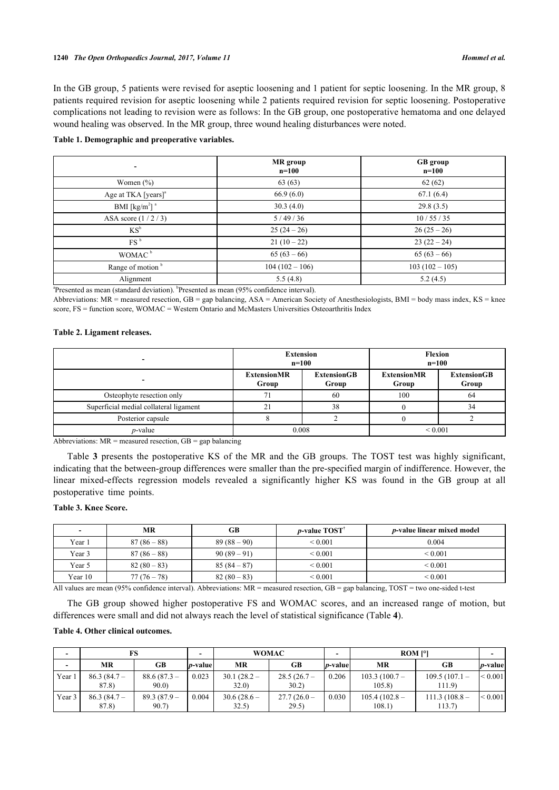In the GB group, 5 patients were revised for aseptic loosening and 1 patient for septic loosening. In the MR group, 8 patients required revision for aseptic loosening while 2 patients required revision for septic loosening. Postoperative complications not leading to revision were as follows: In the GB group, one postoperative hematoma and one delayed wound healing was observed. In the MR group, three wound healing disturbances were noted.

### <span id="page-4-0"></span>**Table 1. Demographic and preoperative variables.**

|                                                   | MR group<br>$n=100$ | <b>GB</b> group<br>$n=100$ |
|---------------------------------------------------|---------------------|----------------------------|
| Women $(\% )$                                     | 63(63)              | 62(62)                     |
| Age at TKA [years] <sup>a</sup>                   | 66.9(6.0)           | 67.1(6.4)                  |
| BMI $\left[\frac{\text{kg}}{\text{m}^2}\right]^a$ | 30.3(4.0)           | 29.8(3.5)                  |
| ASA score $(1/2/3)$                               | 5/49/36             | 10/55/35                   |
| $KS^b$                                            | $25(24-26)$         | $26(25-26)$                |
| $FS^b$                                            | $21(10-22)$         | $23(22-24)$                |
| WOMAC <sup>b</sup>                                | $65(63-66)$         | $65(63-66)$                |
| Range of motion <sup>b</sup>                      | $104(102-106)$      | $103(102-105)$             |
| Alignment                                         | 5.5(4.8)            | 5.2(4.5)                   |

<sup>a</sup>Presented as mean (standard deviation). <sup>b</sup>Presented as mean (95% confidence interval).

Abbreviations:  $MR =$  measured resection,  $GB =$  gap balancing,  $ASA =$  American Society of Anesthesiologists,  $BMI =$  body mass index,  $KS =$  knee score, FS = function score, WOMAC = Western Ontario and McMasters Universities Osteoarthritis Index

#### <span id="page-4-1"></span>**Table 2. Ligament releases.**

|                                                                                                                                                                                                                                                                                                                                                                                                                                                                                     | <b>Extension</b><br>$n=100$ |                             | Flexion<br>$n=100$          |                             |  |
|-------------------------------------------------------------------------------------------------------------------------------------------------------------------------------------------------------------------------------------------------------------------------------------------------------------------------------------------------------------------------------------------------------------------------------------------------------------------------------------|-----------------------------|-----------------------------|-----------------------------|-----------------------------|--|
|                                                                                                                                                                                                                                                                                                                                                                                                                                                                                     | <b>ExtensionMR</b><br>Group | <b>ExtensionGB</b><br>Group | <b>ExtensionMR</b><br>Group | <b>ExtensionGB</b><br>Group |  |
| Osteophyte resection only                                                                                                                                                                                                                                                                                                                                                                                                                                                           |                             | 60                          | 100                         | 64                          |  |
| Superficial medial collateral ligament                                                                                                                                                                                                                                                                                                                                                                                                                                              |                             | 38                          |                             | 34                          |  |
| Posterior capsule                                                                                                                                                                                                                                                                                                                                                                                                                                                                   |                             |                             |                             |                             |  |
| <i>p</i> -value<br>$\mathbf{1} \mathbf{1} \mathbf{1} \mathbf{1} \mathbf{1} \mathbf{1} \mathbf{1} \mathbf{1} \mathbf{1} \mathbf{1} \mathbf{1} \mathbf{1} \mathbf{1} \mathbf{1} \mathbf{1} \mathbf{1} \mathbf{1} \mathbf{1} \mathbf{1} \mathbf{1} \mathbf{1} \mathbf{1} \mathbf{1} \mathbf{1} \mathbf{1} \mathbf{1} \mathbf{1} \mathbf{1} \mathbf{1} \mathbf{1} \mathbf{1} \mathbf{1} \mathbf{1} \mathbf{1} \mathbf{1} \mathbf{1} \mathbf{$<br>$\cap$<br>and the contract of the con- | 0.008                       |                             | ${}_{0.001}$                |                             |  |

Abbreviations:  $MR$  = measured resection,  $GB$  = gap balancing

Table**3** presents the postoperative KS of the MR and the GB groups. The TOST test was highly significant, indicating that the between-group differences were smaller than the pre-specified margin of indifference. However, the linear mixed-effects regression models revealed a significantly higher KS was found in the GB group at all postoperative time points.

#### <span id="page-4-2"></span>**Table 3. Knee Score.**

| $\overline{\phantom{0}}$ | <b>MR</b>   | GB          | <i>p</i> -value $TOST^{\dagger}$ | <i>p</i> -value linear mixed model |
|--------------------------|-------------|-------------|----------------------------------|------------------------------------|
| Year 1                   | $87(86-88)$ | $89(88-90)$ | ${}_{0.001}$                     | 0.004                              |
| Year 3                   | $87(86-88)$ | $90(89-91)$ | ${}_{\leq 0.001}$                | ${}_{0.001}$                       |
| Year 5                   | $82(80-83)$ | $85(84-87)$ | ${}_{0.001}$                     | ${}_{0.001}$                       |
| Year 10                  | $77(76-78)$ | $82(80-83)$ | ${}_{\leq 0.001}$                | ${}_{0.001}$                       |

All values are mean (95% confidence interval). Abbreviations:  $MR =$  measured resection,  $GB =$  gap balancing, TOST = two one-sided t-test

The GB group showed higher postoperative FS and WOMAC scores, and an increased range of motion, but differences were small and did not always reach the level of statistical significance (Table **[4](#page-4-3)**).

### <span id="page-4-3"></span>**Table 4. Other clinical outcomes.**

|                          |                        |                       | $\overline{\phantom{0}}$ | <b>WOMAC</b>           |                        |                 | ROM <sub>1</sub>          |                           |                 |
|--------------------------|------------------------|-----------------------|--------------------------|------------------------|------------------------|-----------------|---------------------------|---------------------------|-----------------|
| $\overline{\phantom{0}}$ | MR                     | GB                    | <i>p</i> -valuel         | MR                     | GB                     | <i>b</i> -value | MR                        | GB.                       | <i>p</i> -value |
| Year <sub>1</sub>        | $86.3(84.7 -$<br>87.8) | $88.6(87.3 -$<br>90.0 | 0.023                    | $30.1(28.2 -$<br>32.0) | $28.5(26.7 -$<br>30.2) | 0.206           | $103.3(100.7 -$<br>105.8  | $109.5(107.1 -$<br>111.9) | ${}_{0.001}$    |
| Year 3                   | $86.3(84.7 -$<br>87.8) | $89.3(87.9 -$<br>90.7 | 0.004                    | $30.6(28.6 -$<br>32.5) | $27.7(26.0 -$<br>29.5) | 0.030           | $105.4(102.8 -$<br>108.1) | $111.3(108.8 -$<br>113.7  | ${}_{0.001}$    |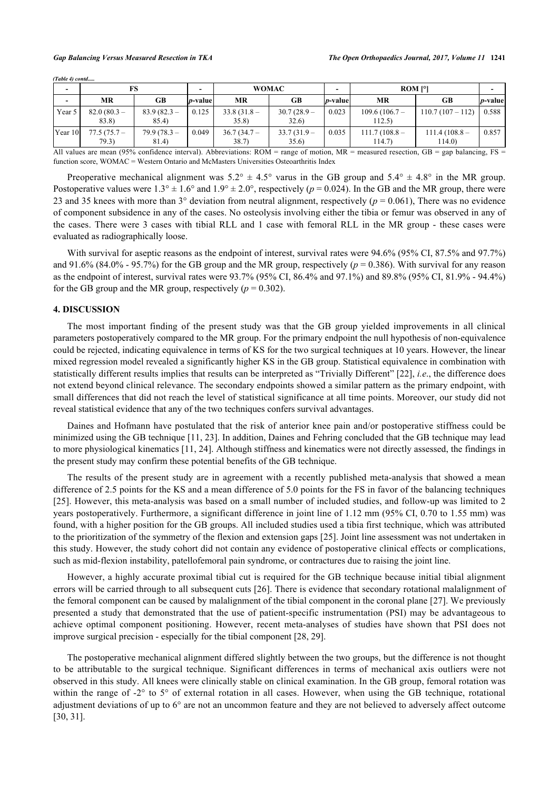| (Table 4) contd          |               |               |                          |               |               |                 |                 |                  |                 |
|--------------------------|---------------|---------------|--------------------------|---------------|---------------|-----------------|-----------------|------------------|-----------------|
| $\overline{\phantom{0}}$ | FS            |               | $\overline{\phantom{0}}$ | <b>WOMAC</b>  |               |                 | ROM [°]         |                  |                 |
| $\overline{\phantom{a}}$ | MR            | GB            | <i>p</i> -valuel         | MR            | <b>GB</b>     | <i>p</i> -value | MR              | GB               | <i>p</i> -value |
| Year 5                   | $82.0(80.3 -$ | $83.9(82.3 -$ | 0.125                    | $33.8(31.8 -$ | $30.7(28.9 -$ | 0.023           | $109.6(106.7 -$ | $110.7(107-112)$ | 0.588           |
|                          | 83.8)         | 85.4)         |                          | 35.8          | 32.6          |                 | 112.5)          |                  |                 |
| Year 10                  | $77.5(75.7 -$ | $79.9(78.3 -$ | 0.049                    | $36.7(34.7 -$ | $33.7(31.9 -$ | 0.035           | $111.7(108.8 -$ | $111.4(108.8 -$  | 0.857           |
|                          | 79.3)         | 81.4)         |                          | 38.7)         | 35.6          |                 | 114.7)          | 114.0            |                 |

All values are mean (95% confidence interval). Abbreviations:  $ROM = \text{range of motion}, MR = \text{measured resection}, GB = \text{gap balancing}, FS = \text{map}$ function score, WOMAC = Western Ontario and McMasters Universities Osteoarthritis Index

Preoperative mechanical alignment was  $5.2^{\circ} \pm 4.5^{\circ}$  varus in the GB group and  $5.4^{\circ} \pm 4.8^{\circ}$  in the MR group. Postoperative values were  $1.3^{\circ} \pm 1.6^{\circ}$  and  $1.9^{\circ} \pm 2.0^{\circ}$ , respectively ( $p = 0.024$ ). In the GB and the MR group, there were 23 and 35 knees with more than  $3^{\circ}$  deviation from neutral alignment, respectively ( $p = 0.061$ ), There was no evidence of component subsidence in any of the cases. No osteolysis involving either the tibia or femur was observed in any of the cases. There were 3 cases with tibial RLL and 1 case with femoral RLL in the MR group - these cases were evaluated as radiographically loose.

With survival for aseptic reasons as the endpoint of interest, survival rates were 94.6% (95% CI, 87.5% and 97.7%) and 91.6% (84.0% - 95.7%) for the GB group and the MR group, respectively ( $p = 0.386$ ). With survival for any reason as the endpoint of interest, survival rates were 93.7% (95% CI, 86.4% and 97.1%) and 89.8% (95% CI, 81.9% - 94.4%) for the GB group and the MR group, respectively  $(p = 0.302)$ .

#### **4. DISCUSSION**

The most important finding of the present study was that the GB group yielded improvements in all clinical parameters postoperatively compared to the MR group. For the primary endpoint the null hypothesis of non-equivalence could be rejected, indicating equivalence in terms of KS for the two surgical techniques at 10 years. However, the linear mixed regression model revealed a significantly higher KS in the GB group. Statistical equivalence in combination with statistically different results implies that results can be interpreted as "Trivially Different" [[22\]](#page-7-19), *i.e*., the difference does not extend beyond clinical relevance. The secondary endpoints showed a similar pattern as the primary endpoint, with small differences that did not reach the level of statistical significance at all time points. Moreover, our study did not reveal statistical evidence that any of the two techniques confers survival advantages.

Daines and Hofmann have postulated that the risk of anterior knee pain and/or postoperative stiffness could be minimized using the GB technique [\[11](#page-7-8), [23](#page-7-20)]. In addition, Daines and Fehring concluded that the GB technique may lead to more physiological kinematics [[11,](#page-7-8) [24\]](#page-7-21). Although stiffness and kinematics were not directly assessed, the findings in the present study may confirm these potential benefits of the GB technique.

The results of the present study are in agreement with a recently published meta-analysis that showed a mean difference of 2.5 points for the KS and a mean difference of 5.0 points for the FS in favor of the balancing techniques [\[25](#page-8-0)]. However, this meta-analysis was based on a small number of included studies, and follow-up was limited to 2 years postoperatively. Furthermore, a significant difference in joint line of 1.12 mm (95% CI, 0.70 to 1.55 mm) was found, with a higher position for the GB groups. All included studies used a tibia first technique, which was attributed to the prioritization of the symmetry of the flexion and extension gaps [[25\]](#page-8-0). Joint line assessment was not undertaken in this study. However, the study cohort did not contain any evidence of postoperative clinical effects or complications, such as mid-flexion instability, patellofemoral pain syndrome, or contractures due to raising the joint line.

However, a highly accurate proximal tibial cut is required for the GB technique because initial tibial alignment errors will be carried through to all subsequent cuts [[26\]](#page-8-1). There is evidence that secondary rotational malalignment of the femoral component can be caused by malalignment of the tibial component in the coronal plane [[27\]](#page-8-2). We previously presented a study that demonstrated that the use of patient-specific instrumentation (PSI) may be advantageous to achieve optimal component positioning. However, recent meta-analyses of studies have shown that PSI does not improve surgical precision - especially for the tibial component [\[28](#page-8-3), [29](#page-8-4)].

The postoperative mechanical alignment differed slightly between the two groups, but the difference is not thought to be attributable to the surgical technique. Significant differences in terms of mechanical axis outliers were not observed in this study. All knees were clinically stable on clinical examination. In the GB group, femoral rotation was within the range of -2° to 5° of external rotation in all cases. However, when using the GB technique, rotational adjustment deviations of up to 6° are not an uncommon feature and they are not believed to adversely affect outcome [\[30](#page-8-5), [31](#page-8-6)].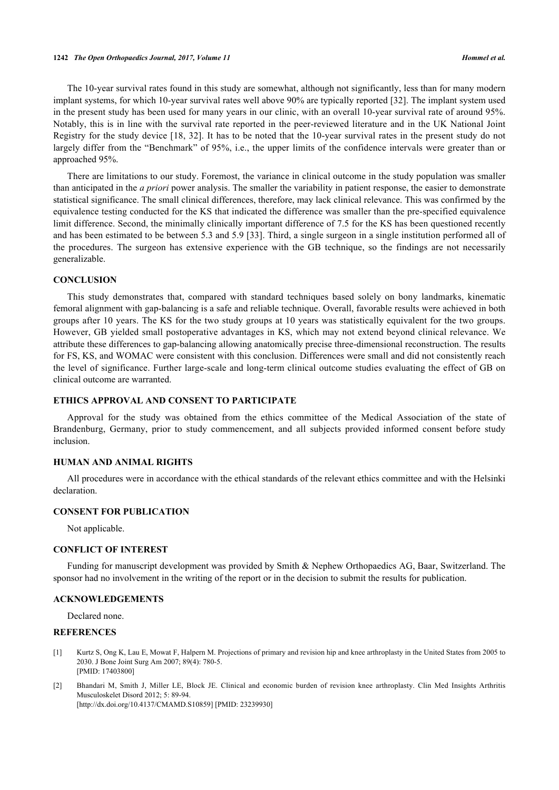#### **1242** *The Open Orthopaedics Journal, 2017, Volume 11 Hommel et al.*

The 10-year survival rates found in this study are somewhat, although not significantly, less than for many modern implant systems, for which 10-year survival rates well above 90% are typically reported [\[32](#page-8-7)]. The implant system used in the present study has been used for many years in our clinic, with an overall 10-year survival rate of around 95%. Notably, this is in line with the survival rate reported in the peer-reviewed literature and in the UK National Joint Registry for the study device [[18](#page-7-15), [32](#page-8-7)]. It has to be noted that the 10-year survival rates in the present study do not largely differ from the "Benchmark" of 95%, i.e., the upper limits of the confidence intervals were greater than or approached 95%.

There are limitations to our study. Foremost, the variance in clinical outcome in the study population was smaller than anticipated in the *a priori* power analysis. The smaller the variability in patient response, the easier to demonstrate statistical significance. The small clinical differences, therefore, may lack clinical relevance. This was confirmed by the equivalence testing conducted for the KS that indicated the difference was smaller than the pre-specified equivalence limit difference. Second, the minimally clinically important difference of 7.5 for the KS has been questioned recently and has been estimated to be between 5.3 and 5.9 [[33](#page-8-8)]. Third, a single surgeon in a single institution performed all of the procedures. The surgeon has extensive experience with the GB technique, so the findings are not necessarily generalizable.

#### **CONCLUSION**

This study demonstrates that, compared with standard techniques based solely on bony landmarks, kinematic femoral alignment with gap-balancing is a safe and reliable technique. Overall, favorable results were achieved in both groups after 10 years. The KS for the two study groups at 10 years was statistically equivalent for the two groups. However, GB yielded small postoperative advantages in KS, which may not extend beyond clinical relevance. We attribute these differences to gap-balancing allowing anatomically precise three-dimensional reconstruction. The results for FS, KS, and WOMAC were consistent with this conclusion. Differences were small and did not consistently reach the level of significance. Further large-scale and long-term clinical outcome studies evaluating the effect of GB on clinical outcome are warranted.

# **ETHICS APPROVAL AND CONSENT TO PARTICIPATE**

Approval for the study was obtained from the ethics committee of the Medical Association of the state of Brandenburg, Germany, prior to study commencement, and all subjects provided informed consent before study inclusion.

#### **HUMAN AND ANIMAL RIGHTS**

All procedures were in accordance with the ethical standards of the relevant ethics committee and with the Helsinki declaration.

#### **CONSENT FOR PUBLICATION**

Not applicable.

# **CONFLICT OF INTEREST**

Funding for manuscript development was provided by Smith & Nephew Orthopaedics AG, Baar, Switzerland. The sponsor had no involvement in the writing of the report or in the decision to submit the results for publication.

### **ACKNOWLEDGEMENTS**

Declared none.

# **REFERENCES**

- <span id="page-6-0"></span>[1] Kurtz S, Ong K, Lau E, Mowat F, Halpern M. Projections of primary and revision hip and knee arthroplasty in the United States from 2005 to 2030. J Bone Joint Surg Am 2007; 89(4): 780-5. [PMID: [17403800\]](http://www.ncbi.nlm.nih.gov/pubmed/17403800)
- <span id="page-6-1"></span>[2] Bhandari M, Smith J, Miller LE, Block JE. Clinical and economic burden of revision knee arthroplasty. Clin Med Insights Arthritis Musculoskelet Disord 2012; 5: 89-94. [\[http://dx.doi.org/10.4137/CMAMD.S10859](http://dx.doi.org/10.4137/CMAMD.S10859)] [PMID: [23239930\]](http://www.ncbi.nlm.nih.gov/pubmed/23239930)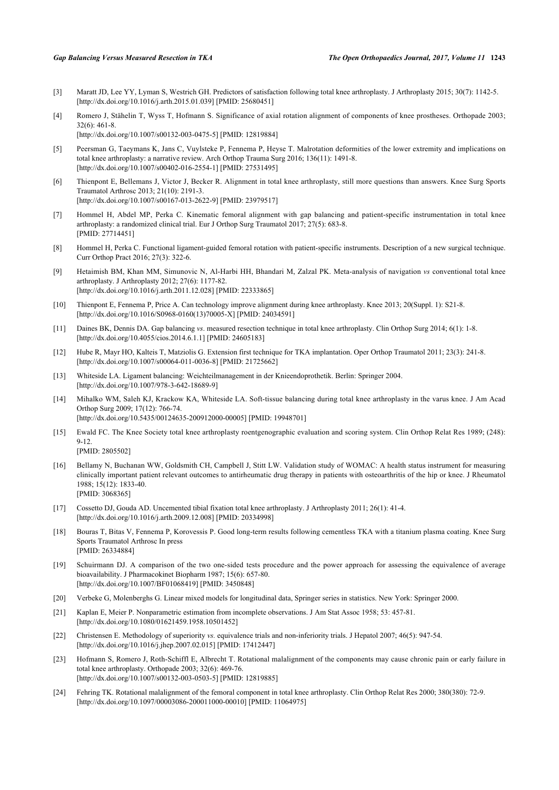- <span id="page-7-0"></span>[3] Maratt JD, Lee YY, Lyman S, Westrich GH. Predictors of satisfaction following total knee arthroplasty. J Arthroplasty 2015; 30(7): 1142-5. [\[http://dx.doi.org/10.1016/j.arth.2015.01.039](http://dx.doi.org/10.1016/j.arth.2015.01.039)] [PMID: [25680451](http://www.ncbi.nlm.nih.gov/pubmed/25680451)]
- <span id="page-7-1"></span>[4] Romero J, Stähelin T, Wyss T, Hofmann S. Significance of axial rotation alignment of components of knee prostheses. Orthopade 2003;  $32(6)$ : 461-8.

[\[http://dx.doi.org/10.1007/s00132-003-0475-5\]](http://dx.doi.org/10.1007/s00132-003-0475-5) [PMID: [12819884](http://www.ncbi.nlm.nih.gov/pubmed/12819884)]

- <span id="page-7-2"></span>[5] Peersman G, Taeymans K, Jans C, Vuylsteke P, Fennema P, Heyse T. Malrotation deformities of the lower extremity and implications on total knee arthroplasty: a narrative review. Arch Orthop Trauma Surg 2016; 136(11): 1491-8. [\[http://dx.doi.org/10.1007/s00402-016-2554-1\]](http://dx.doi.org/10.1007/s00402-016-2554-1) [PMID: [27531495](http://www.ncbi.nlm.nih.gov/pubmed/27531495)]
- <span id="page-7-3"></span>[6] Thienpont E, Bellemans J, Victor J, Becker R. Alignment in total knee arthroplasty, still more questions than answers. Knee Surg Sports Traumatol Arthrosc 2013; 21(10): 2191-3. [\[http://dx.doi.org/10.1007/s00167-013-2622-9\]](http://dx.doi.org/10.1007/s00167-013-2622-9) [PMID: [23979517](http://www.ncbi.nlm.nih.gov/pubmed/23979517)]
- <span id="page-7-4"></span>[7] Hommel H, Abdel MP, Perka C. Kinematic femoral alignment with gap balancing and patient-specific instrumentation in total knee arthroplasty: a randomized clinical trial. Eur J Orthop Surg Traumatol 2017; 27(5): 683-8. [PMID: [27714451\]](http://www.ncbi.nlm.nih.gov/pubmed/27714451)
- <span id="page-7-5"></span>[8] Hommel H, Perka C. Functional ligament-guided femoral rotation with patient-specific instruments. Description of a new surgical technique. Curr Orthop Pract 2016; 27(3): 322-6.
- <span id="page-7-6"></span>[9] Hetaimish BM, Khan MM, Simunovic N, Al-Harbi HH, Bhandari M, Zalzal PK. Meta-analysis of navigation *vs* conventional total knee arthroplasty. J Arthroplasty 2012; 27(6): 1177-82. [\[http://dx.doi.org/10.1016/j.arth.2011.12.028](http://dx.doi.org/10.1016/j.arth.2011.12.028)] [PMID: [22333865](http://www.ncbi.nlm.nih.gov/pubmed/22333865)]
- <span id="page-7-7"></span>[10] Thienpont E, Fennema P, Price A. Can technology improve alignment during knee arthroplasty. Knee 2013; 20(Suppl. 1): S21-8. [\[http://dx.doi.org/10.1016/S0968-0160\(13\)70005-X\]](http://dx.doi.org/10.1016/S0968-0160(13)70005-X) [PMID: [24034591](http://www.ncbi.nlm.nih.gov/pubmed/24034591)]
- <span id="page-7-8"></span>[11] Daines BK, Dennis DA. Gap balancing *vs*. measured resection technique in total knee arthroplasty. Clin Orthop Surg 2014; 6(1): 1-8. [\[http://dx.doi.org/10.4055/cios.2014.6.1.1\]](http://dx.doi.org/10.4055/cios.2014.6.1.1) [PMID: [24605183](http://www.ncbi.nlm.nih.gov/pubmed/24605183)]
- <span id="page-7-9"></span>[12] Hube R, Mayr HO, Kalteis T, Matziolis G. Extension first technique for TKA implantation. Oper Orthop Traumatol 2011; 23(3): 241-8. [\[http://dx.doi.org/10.1007/s00064-011-0036-8\]](http://dx.doi.org/10.1007/s00064-011-0036-8) [PMID: [21725662](http://www.ncbi.nlm.nih.gov/pubmed/21725662)]
- <span id="page-7-10"></span>[13] Whiteside LA. Ligament balancing: Weichteilmanagement in der Knieendoprothetik. Berlin: Springer 2004. [\[http://dx.doi.org/10.1007/978-3-642-18689-9](http://dx.doi.org/10.1007/978-3-642-18689-9)]
- <span id="page-7-11"></span>[14] Mihalko WM, Saleh KJ, Krackow KA, Whiteside LA. Soft-tissue balancing during total knee arthroplasty in the varus knee. J Am Acad Orthop Surg 2009; 17(12): 766-74. [\[http://dx.doi.org/10.5435/00124635-200912000-00005](http://dx.doi.org/10.5435/00124635-200912000-00005)] [PMID: [19948701\]](http://www.ncbi.nlm.nih.gov/pubmed/19948701)
- <span id="page-7-12"></span>[15] Ewald FC. The Knee Society total knee arthroplasty roentgenographic evaluation and scoring system. Clin Orthop Relat Res 1989; (248): 9-12. [PMID: [2805502\]](http://www.ncbi.nlm.nih.gov/pubmed/2805502)
- <span id="page-7-13"></span>[16] Bellamy N, Buchanan WW, Goldsmith CH, Campbell J, Stitt LW. Validation study of WOMAC: A health status instrument for measuring clinically important patient relevant outcomes to antirheumatic drug therapy in patients with osteoarthritis of the hip or knee. J Rheumatol 1988; 15(12): 1833-40. [PMID: [3068365\]](http://www.ncbi.nlm.nih.gov/pubmed/3068365)
- <span id="page-7-14"></span>[17] Cossetto DJ, Gouda AD. Uncemented tibial fixation total knee arthroplasty. J Arthroplasty 2011; 26(1): 41-4. [\[http://dx.doi.org/10.1016/j.arth.2009.12.008](http://dx.doi.org/10.1016/j.arth.2009.12.008)] [PMID: [20334998](http://www.ncbi.nlm.nih.gov/pubmed/20334998)]
- <span id="page-7-15"></span>[18] Bouras T, Bitas V, Fennema P, Korovessis P. Good long-term results following cementless TKA with a titanium plasma coating. Knee Surg Sports Traumatol Arthrosc In press [PMID: [26334884\]](http://www.ncbi.nlm.nih.gov/pubmed/26334884)
- <span id="page-7-16"></span>[19] Schuirmann DJ. A comparison of the two one-sided tests procedure and the power approach for assessing the equivalence of average bioavailability. J Pharmacokinet Biopharm 1987; 15(6): 657-80. [\[http://dx.doi.org/10.1007/BF01068419\]](http://dx.doi.org/10.1007/BF01068419) [PMID: [3450848](http://www.ncbi.nlm.nih.gov/pubmed/3450848)]
- <span id="page-7-17"></span>[20] Verbeke G, Molenberghs G. Linear mixed models for longitudinal data, Springer series in statistics. New York: Springer 2000.
- <span id="page-7-18"></span>[21] Kaplan E, Meier P. Nonparametric estimation from incomplete observations. J Am Stat Assoc 1958; 53: 457-81. [\[http://dx.doi.org/10.1080/01621459.1958.10501452\]](http://dx.doi.org/10.1080/01621459.1958.10501452)
- <span id="page-7-19"></span>[22] Christensen E. Methodology of superiority *vs.* equivalence trials and non-inferiority trials. J Hepatol 2007; 46(5): 947-54. [\[http://dx.doi.org/10.1016/j.jhep.2007.02.015\]](http://dx.doi.org/10.1016/j.jhep.2007.02.015) [PMID: [17412447](http://www.ncbi.nlm.nih.gov/pubmed/17412447)]
- <span id="page-7-20"></span>[23] Hofmann S, Romero J, Roth-Schiffl E, Albrecht T. Rotational malalignment of the components may cause chronic pain or early failure in total knee arthroplasty. Orthopade 2003; 32(6): 469-76. [\[http://dx.doi.org/10.1007/s00132-003-0503-5\]](http://dx.doi.org/10.1007/s00132-003-0503-5) [PMID: [12819885](http://www.ncbi.nlm.nih.gov/pubmed/12819885)]
- <span id="page-7-21"></span>[24] Fehring TK. Rotational malalignment of the femoral component in total knee arthroplasty. Clin Orthop Relat Res 2000; 380(380): 72-9. [\[http://dx.doi.org/10.1097/00003086-200011000-00010](http://dx.doi.org/10.1097/00003086-200011000-00010)] [PMID: [11064975\]](http://www.ncbi.nlm.nih.gov/pubmed/11064975)